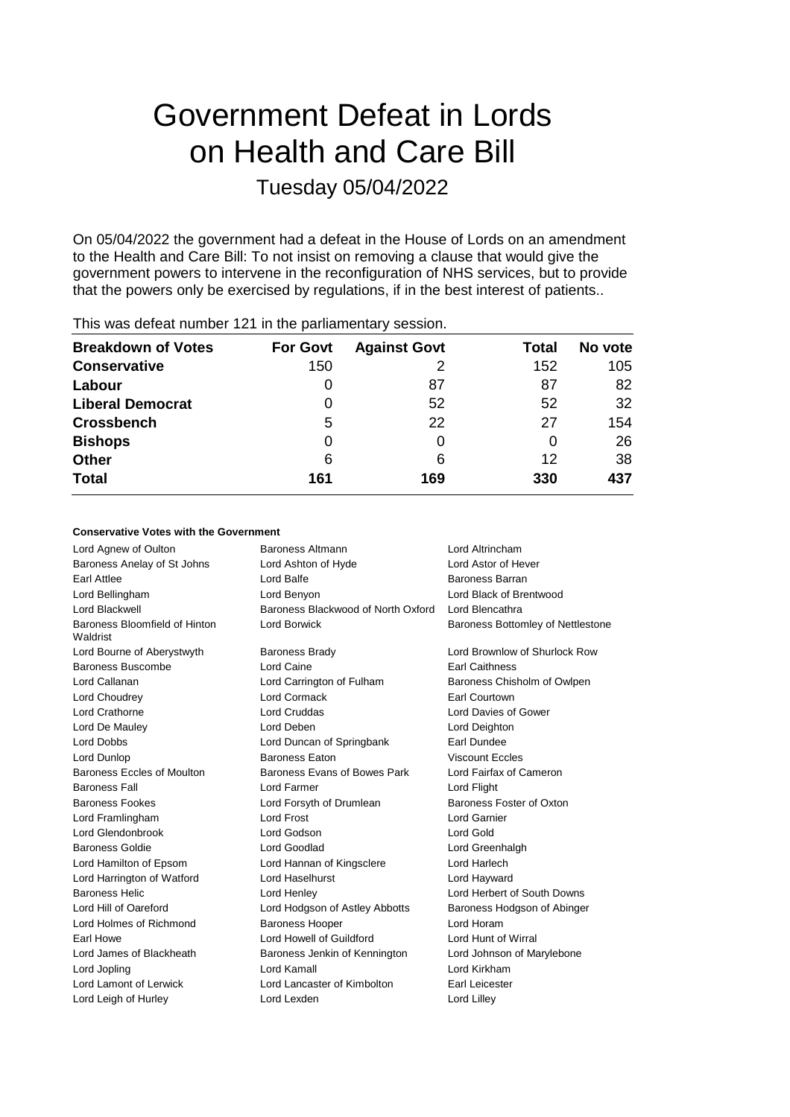# Government Defeat in Lords on Health and Care Bill Tuesday 05/04/2022

On 05/04/2022 the government had a defeat in the House of Lords on an amendment to the Health and Care Bill: To not insist on removing a clause that would give the government powers to intervene in the reconfiguration of NHS services, but to provide that the powers only be exercised by regulations, if in the best interest of patients..

| <b>Breakdown of Votes</b> | <b>For Govt</b> | <b>Against Govt</b> | Total | No vote |
|---------------------------|-----------------|---------------------|-------|---------|
| <b>Conservative</b>       | 150             |                     | 152   | 105     |
| Labour                    | 0               | 87                  | 87    | 82      |
| <b>Liberal Democrat</b>   | 0               | 52                  | 52    | 32      |
| <b>Crossbench</b>         | 5               | 22                  | 27    | 154     |
| <b>Bishops</b>            | 0               |                     |       | 26      |
| <b>Other</b>              | 6               | 6                   | 12    | 38      |
| <b>Total</b>              | 161             | 169                 | 330   | 437     |
|                           |                 |                     |       |         |

## This was defeat number 121 in the parliamentary session.

### **Conservative Votes with the Government**

| Lord Agnew of Oulton                      | <b>Baroness Altmann</b>                               | Lord Altrincham                          |  |
|-------------------------------------------|-------------------------------------------------------|------------------------------------------|--|
| Baroness Anelay of St Johns               | Lord Ashton of Hyde                                   | Lord Astor of Hever                      |  |
| Earl Attlee                               | Lord Balfe                                            | Baroness Barran                          |  |
| Lord Bellingham                           | Lord Benyon                                           | Lord Black of Brentwood                  |  |
| Lord Blackwell                            | Baroness Blackwood of North Oxford<br>Lord Blencathra |                                          |  |
| Baroness Bloomfield of Hinton<br>Waldrist | <b>Lord Borwick</b>                                   | <b>Baroness Bottomley of Nettlestone</b> |  |
| Lord Bourne of Aberystwyth                | <b>Baroness Brady</b>                                 | Lord Brownlow of Shurlock Row            |  |
| Baroness Buscombe                         | Lord Caine                                            | <b>Earl Caithness</b>                    |  |
| Lord Callanan                             | Lord Carrington of Fulham                             | Baroness Chisholm of Owlpen              |  |
| Lord Choudrey                             | <b>Lord Cormack</b>                                   | Earl Courtown                            |  |
| Lord Crathorne                            | <b>Lord Cruddas</b>                                   | Lord Davies of Gower                     |  |
| Lord De Mauley                            | Lord Deben                                            | Lord Deighton                            |  |
| Lord Dobbs                                | Lord Duncan of Springbank                             | Earl Dundee                              |  |
| Lord Dunlop                               | <b>Baroness Eaton</b>                                 | <b>Viscount Eccles</b>                   |  |
| Baroness Eccles of Moulton                | Baroness Evans of Bowes Park                          | Lord Fairfax of Cameron                  |  |
| <b>Baroness Fall</b>                      | Lord Farmer                                           | Lord Flight                              |  |
| <b>Baroness Fookes</b>                    | Lord Forsyth of Drumlean                              | Baroness Foster of Oxton                 |  |
| Lord Framlingham                          | <b>Lord Frost</b>                                     | <b>Lord Garnier</b>                      |  |
| Lord Glendonbrook                         | Lord Godson                                           | Lord Gold                                |  |
| <b>Baroness Goldie</b>                    | Lord Goodlad                                          | Lord Greenhalgh                          |  |
| Lord Hamilton of Epsom                    | Lord Hannan of Kingsclere                             | Lord Harlech                             |  |
| Lord Harrington of Watford                | Lord Haselhurst                                       | Lord Hayward                             |  |
| <b>Baroness Helic</b>                     | Lord Henley                                           | Lord Herbert of South Downs              |  |
| Lord Hill of Oareford                     | Lord Hodgson of Astley Abbotts                        | Baroness Hodgson of Abinger              |  |
| Lord Holmes of Richmond                   | <b>Baroness Hooper</b>                                | Lord Horam                               |  |
| Earl Howe                                 | Lord Howell of Guildford                              | Lord Hunt of Wirral                      |  |
| Lord James of Blackheath                  | Baroness Jenkin of Kennington                         | Lord Johnson of Marylebone               |  |
| Lord Jopling                              | Lord Kamall                                           | Lord Kirkham                             |  |
| Lord Lamont of Lerwick                    | Lord Lancaster of Kimbolton                           | Earl Leicester                           |  |
| Lord Leigh of Hurley                      | Lord Lexden                                           | Lord Lilley                              |  |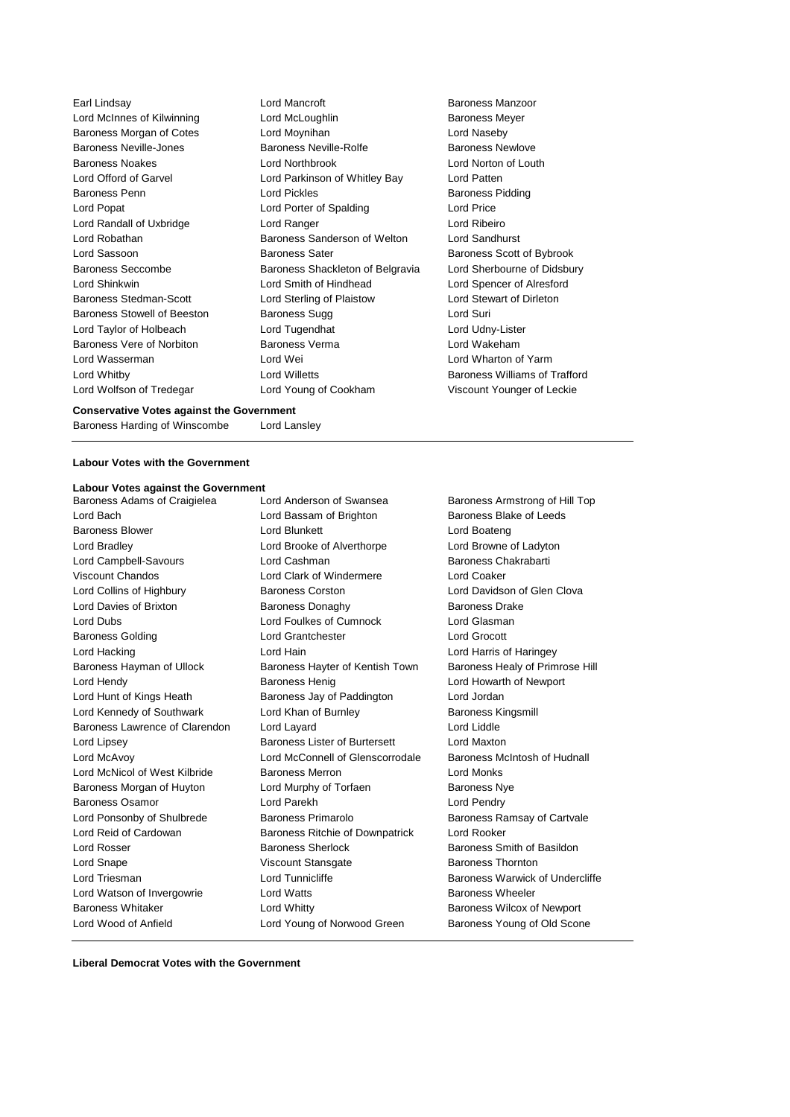Earl Lindsay **Lord Mancroft** Baroness Manzoor Lord McInnes of Kilwinning **Lord McLoughlin Lord McInness Meyer** Baroness Morgan of Cotes Lord Moynihan Lord Naseby Baroness Neville-Jones Baroness Neville-Rolfe Baroness Newlove Baroness Noakes Lord Northbrook Lord Norton of Louth Lord Offord of Garvel Lord Parkinson of Whitley Bay Lord Patten Baroness Penn **Baroness Pidding** Lord Pickles **Baroness Pidding** Lord Popat **Lord Porter of Spalding Lord Price** Lord Randall of Uxbridge Lord Ranger Lord Ribeiro Lord Robathan **Baroness Sanderson of Welton** Lord Sandhurst Lord Sassoon **Baroness Sater** Baroness Scott of Bybrook Baroness Seccombe **Baroness** Shackleton of Belgravia Lord Sherbourne of Didsbury Lord Shinkwin Lord Smith of Hindhead Lord Spencer of Alresford Baroness Stedman-Scott Lord Sterling of Plaistow Lord Stewart of Dirleton Baroness Stowell of Beeston Baroness Sugg **Baroness Sugg Lord Suri** Lord Taylor of Holbeach **Lord Tugendhat** Lord Tugendhat Lord Udny-Lister Baroness Vere of Norbiton Baroness Verma Lord Wakeham Lord Wasserman Lord Wei Lord Wharton of Yarm Lord Whitby Lord Willetts Baroness Williams of Trafford Lord Wolfson of Tredegar Lord Young of Cookham Viscount Younger of Leckie

#### **Conservative Votes against the Government**

Baroness Harding of Winscombe Lord Lansley

## **Labour Votes with the Government**

## **Labour Votes against the Government**

Lord Bach **Lord Bassam of Brighton** Baroness Blake of Leeds Baroness Blower **Lord Blunkett** Lord Boateng Lord Boateng Lord Bradley Lord Brooke of Alverthorpe Lord Browne of Ladyton Lord Campbell-Savours Lord Cashman Baroness Chakrabarti Viscount Chandos Lord Clark of Windermere Lord Coaker Lord Collins of Highbury Baroness Corston Lord Davidson of Glen Clova Lord Davies of Brixton Baroness Donaghy Baroness Drake Lord Dubs Lord Foulkes of Cumnock Lord Glasman Baroness Golding Lord Grantchester Lord Grocott Lord Hacking Lord Hain Lord Harris of Haringey Baroness Hayman of Ullock Baroness Hayter of Kentish Town Baroness Healy of Primrose Hill Lord Hendy Baroness Henig Lord Howarth of Newport Lord Hunt of Kings Heath Baroness Jay of Paddington Lord Jordan Lord Kennedy of Southwark Lord Khan of Burnley Baroness Kingsmill Baroness Lawrence of Clarendon Lord Layard Lord Lord Lord Liddle Lord Lipsey Baroness Lister of Burtersett Lord Maxton Lord McAvoy Lord McConnell of Glenscorrodale Baroness McIntosh of Hudnall Lord McNicol of West Kilbride Baroness Merron **Baroness Merron** Lord Monks Baroness Morgan of Huyton Lord Murphy of Torfaen Baroness Nye Baroness Osamor **Lord Parekh** Lord Pendry Lord Ponsonby of Shulbrede Baroness Primarolo Baroness Ramsay of Cartvale Lord Reid of Cardowan Baroness Ritchie of Downpatrick Lord Rooker Lord Rosser Baroness Sherlock Baroness Smith of Basildon Lord Snape **Viscount Stansgate** Baroness Thornton Lord Triesman **Lord Tunnicliffe** Baroness Warwick of Undercliffe Lord Watson of Invergowrie **Lord Watts Baroness Wheeler** Baroness Whitaker **Lord Whitty Lord Whitty Baroness Wilcox of Newport** Lord Wood of Anfield Lord Young of Norwood Green Baroness Young of Old Scone

Baroness Adams of Craigielea Lord Anderson of Swansea Baroness Armstrong of Hill Top

**Liberal Democrat Votes with the Government**